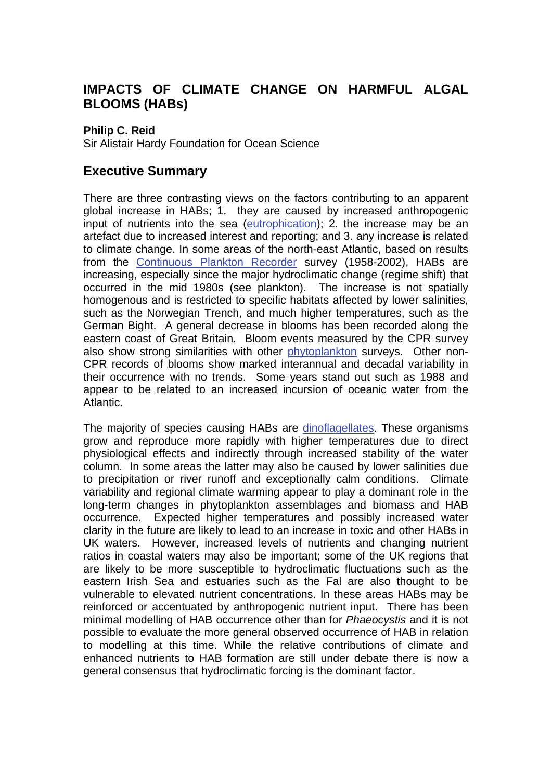# **IMPACTS OF CLIMATE CHANGE ON HARMFUL ALGAL BLOOMS (HABs)**

#### **Philip C. Reid**

Sir Alistair Hardy Foundation for Ocean Science

### **Executive Summary**

There are three contrasting views on the factors contributing to an apparent global increase in HABs; 1. they are caused by increased anthropogenic input of nutrients into the sea [\(eutrophication\);](http://www.mccip.org.uk/arc/glossary.htm) 2. the increase may be an artefact due to increased interest and reporting; and 3. any increase is related to climate change. In some areas of the north-east Atlantic, based on results from the [Continuous Plankton Recorder](http://www.mccip.org.uk/arc/glossary.htm) survey (1958-2002), HABs are increasing, especially since the major hydroclimatic change (regime shift) that occurred in the mid 1980s (see plankton). The increase is not spatially homogenous and is restricted to specific habitats affected by lower salinities, such as the Norwegian Trench, and much higher temperatures, such as the German Bight. A general decrease in blooms has been recorded along the eastern coast of Great Britain. Bloom events measured by the CPR survey also show strong similarities with other [phytoplankton](http://www.mccip.org.uk/arc/glossary.htm) surveys. Other non-CPR records of blooms show marked interannual and decadal variability in their occurrence with no trends. Some years stand out such as 1988 and appear to be related to an increased incursion of oceanic water from the Atlantic.

The majority of species causing HABs are [dinoflagellates.](http://www.mccip.org.uk/arc/glossary.htm) These organisms grow and reproduce more rapidly with higher temperatures due to direct physiological effects and indirectly through increased stability of the water column. In some areas the latter may also be caused by lower salinities due to precipitation or river runoff and exceptionally calm conditions. Climate variability and regional climate warming appear to play a dominant role in the long-term changes in phytoplankton assemblages and biomass and HAB occurrence. Expected higher temperatures and possibly increased water clarity in the future are likely to lead to an increase in toxic and other HABs in UK waters. However, increased levels of nutrients and changing nutrient ratios in coastal waters may also be important; some of the UK regions that are likely to be more susceptible to hydroclimatic fluctuations such as the eastern Irish Sea and estuaries such as the Fal are also thought to be vulnerable to elevated nutrient concentrations. In these areas HABs may be reinforced or accentuated by anthropogenic nutrient input. There has been minimal modelling of HAB occurrence other than for *Phaeocystis* and it is not possible to evaluate the more general observed occurrence of HAB in relation to modelling at this time. While the relative contributions of climate and enhanced nutrients to HAB formation are still under debate there is now a general consensus that hydroclimatic forcing is the dominant factor.